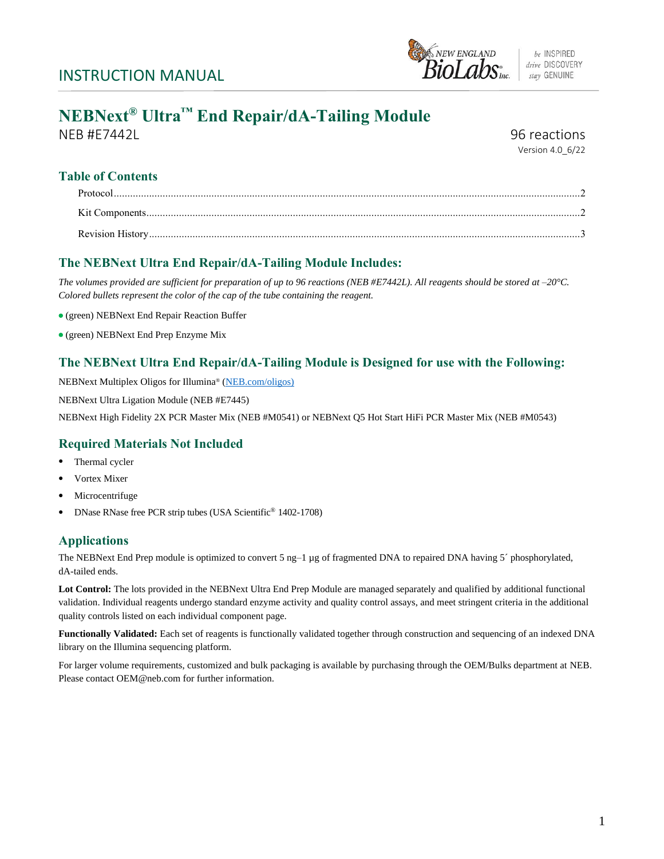

be INSPIRED drive DISCOVERY stay GENUINE

# **NEBNext® Ultra™ End Repair/dA-Tailing Module**

NEB #E7442L 96 reactions

Version 4.0\_6/22

# **Table of Contents**

# **The NEBNext Ultra End Repair/dA-Tailing Module Includes:**

*The volumes provided are sufficient for preparation of up to 96 reactions (NEB #E7442L). All reagents should be stored at –20°C. Colored bullets represent the color of the cap of the tube containing the reagent.*

- (green) NEBNext End Repair Reaction Buffer
- (green) NEBNext End Prep Enzyme Mix

## **The NEBNext Ultra End Repair/dA-Tailing Module is Designed for use with the Following:**

NEBNext Multiplex Oligos for Illumina® [\(NEB.com/oligos\)](https://www.neb.com/tools-and-resources/selection-charts/nebnext-multiplex-oligos-selection-chart)

NEBNext Ultra Ligation Module (NEB #E7445)

NEBNext High Fidelity 2X PCR Master Mix (NEB #M0541) or NEBNext Q5 Hot Start HiFi PCR Master Mix (NEB #M0543)

## **Required Materials Not Included**

- Thermal cycler
- Vortex Mixer
- **Microcentrifuge**
- DNase RNase free PCR strip tubes (USA Scientific® 1402-1708)

## **Applications**

The NEBNext End Prep module is optimized to convert 5 ng–1 µg of fragmented DNA to repaired DNA having 5´ phosphorylated, dA-tailed ends.

Lot Control: The lots provided in the NEBNext Ultra End Prep Module are managed separately and qualified by additional functional validation. Individual reagents undergo standard enzyme activity and quality control assays, and meet stringent criteria in the additional quality controls listed on each individual component page.

**Functionally Validated:** Each set of reagents is functionally validated together through construction and sequencing of an indexed DNA library on the Illumina sequencing platform.

For larger volume requirements, customized and bulk packaging is available by purchasing through the OEM/Bulks department at NEB. Please contact OEM@neb.com for further information.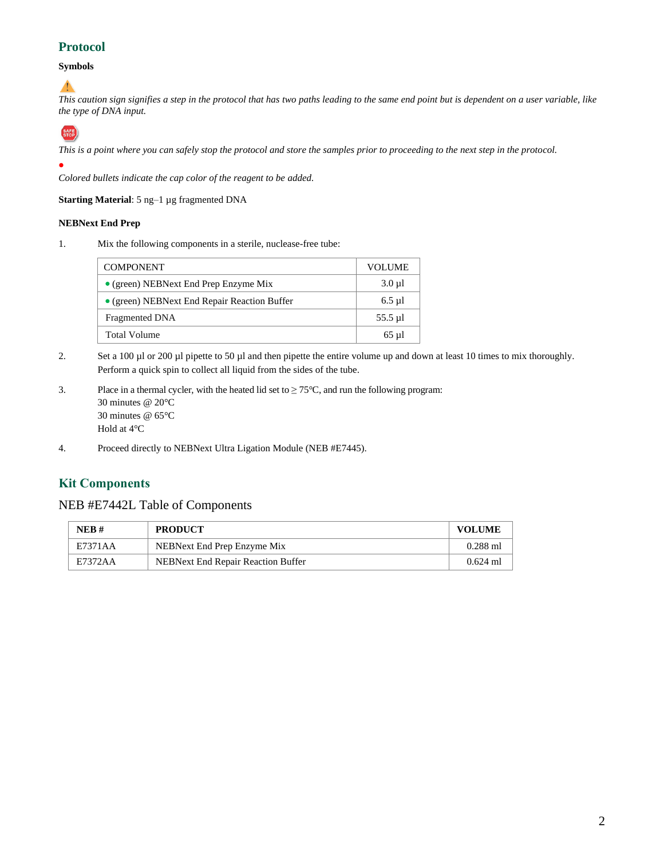# **Protocol**

#### **Symbols**

# ▲

*This caution sign signifies a step in the protocol that has two paths leading to the same end point but is dependent on a user variable, like the type of DNA input.*



*This is a point where you can safely stop the protocol and store the samples prior to proceeding to the next step in the protocol.*

*Colored bullets indicate the cap color of the reagent to be added.*

**Starting Material**: 5 ng–1 µg fragmented DNA

#### **NEBNext End Prep**

1. Mix the following components in a sterile, nuclease-free tube:

| <b>COMPONENT</b>                              | <b>VOLUME</b> |
|-----------------------------------------------|---------------|
| $\bullet$ (green) NEBNext End Prep Enzyme Mix | $3.0 \mu$ l   |
| • (green) NEBNext End Repair Reaction Buffer  | $6.5$ µl      |
| Fragmented DNA                                | $55.5 \mu$ l  |
| <b>Total Volume</b>                           | $65$ µl       |

- 2. Set a 100 µl or 200 µl pipette to 50 µl and then pipette the entire volume up and down at least 10 times to mix thoroughly. Perform a quick spin to collect all liquid from the sides of the tube.
- 3. Place in a thermal cycler, with the heated lid set to  $\geq 75^{\circ}$ C, and run the following program: 30 minutes @ 20°C 30 minutes @ 65°C Hold at 4°C
- 4. Proceed directly to NEBNext Ultra Ligation Module (NEB #E7445).

## **Kit Components**

#### NEB #E7442L Table of Components

| NEB#    | <b>PRODUCT</b>                     | <b>VOLUME</b> |
|---------|------------------------------------|---------------|
| E7371AA | NEBNext End Prep Enzyme Mix        | $0.288$ ml    |
| E7372AA | NEBNext End Repair Reaction Buffer | $0.624$ ml    |